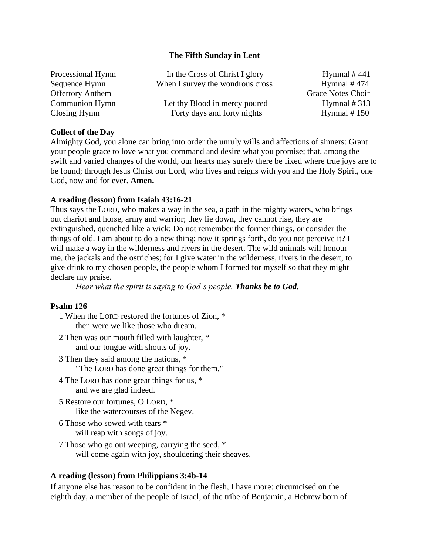### **The Fifth Sunday in Lent**

| Processional Hymn       | In the Cross of Christ I glory   | Hymnal $#441$     |
|-------------------------|----------------------------------|-------------------|
| Sequence Hymn           | When I survey the wondrous cross | Hymnal $#474$     |
| <b>Offertory Anthem</b> |                                  | Grace Notes Choir |
| Communion Hymn          | Let thy Blood in mercy poured    | Hymnal $#313$     |
| Closing Hymn            | Forty days and forty nights      | Hymnal $# 150$    |

# **Collect of the Day**

Almighty God, you alone can bring into order the unruly wills and affections of sinners: Grant your people grace to love what you command and desire what you promise; that, among the swift and varied changes of the world, our hearts may surely there be fixed where true joys are to be found; through Jesus Christ our Lord, who lives and reigns with you and the Holy Spirit, one God, now and for ever. **Amen.**

# **A reading (lesson) from Isaiah 43:16-21**

Thus says the LORD, who makes a way in the sea, a path in the mighty waters, who brings out chariot and horse, army and warrior; they lie down, they cannot rise, they are extinguished, quenched like a wick: Do not remember the former things, or consider the things of old. I am about to do a new thing; now it springs forth, do you not perceive it? I will make a way in the wilderness and rivers in the desert. The wild animals will honour me, the jackals and the ostriches; for I give water in the wilderness, rivers in the desert, to give drink to my chosen people, the people whom I formed for myself so that they might declare my praise.

*Hear what the spirit is saying to God's people. Thanks be to God.*

### **Psalm 126**

- 1 When the LORD restored the fortunes of Zion, \* then were we like those who dream.
- 2 Then was our mouth filled with laughter, \* and our tongue with shouts of joy.
- 3 Then they said among the nations, \* "The LORD has done great things for them."
- 4 The LORD has done great things for us, \* and we are glad indeed.
- 5 Restore our fortunes, O LORD, \* like the watercourses of the Negev.
- 6 Those who sowed with tears \* will reap with songs of joy.
- 7 Those who go out weeping, carrying the seed, \* will come again with joy, shouldering their sheaves.

# **A reading (lesson) from Philippians 3:4b-14**

If anyone else has reason to be confident in the flesh, I have more: circumcised on the eighth day, a member of the people of Israel, of the tribe of Benjamin, a Hebrew born of